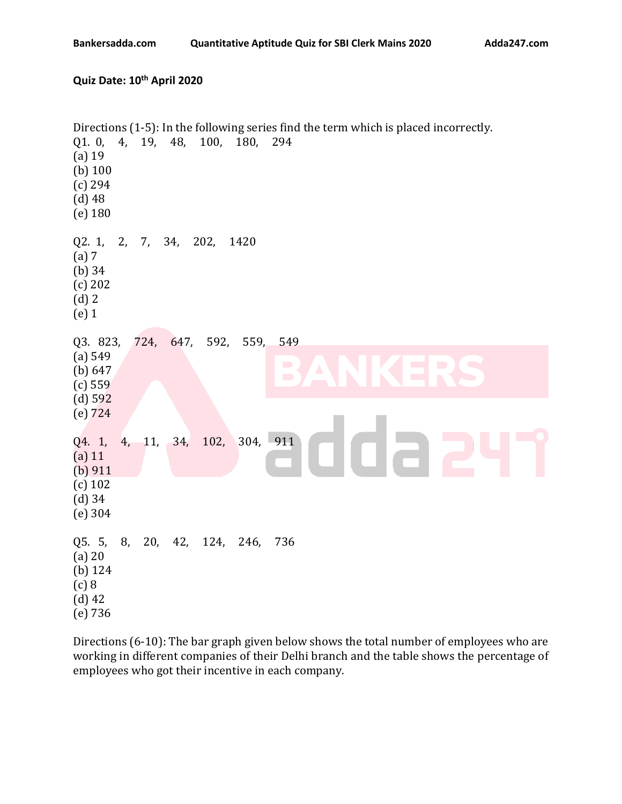## **Quiz Date: 10 th April 2020**

| Q1. 0, 4, 19, 48, 100, 180, 294<br>$(a)$ 19<br>(b) $100$<br>$(c)$ 294<br>$(d)$ 48<br>$(e)$ 180 |       |         |     |                |           | Directions (1-5): In the following series find the term which is placed incorrectly. |
|------------------------------------------------------------------------------------------------|-------|---------|-----|----------------|-----------|--------------------------------------------------------------------------------------|
| Q2. 1,<br>(a) 7<br>$(b)$ 34<br>(c) 202<br>$(d)$ 2<br>$(e)$ 1                                   | 2, 7, |         | 34, | 202,           | 1420      |                                                                                      |
| Q3. 823,<br>(a) 549<br>(b) $647$<br>(c) 559<br>(d) 592<br>$(e)$ 724                            |       |         |     | 724, 647, 592, | 559,      | 549<br>$\blacksquare$<br>$\blacksquare$<br>$\Box$                                    |
| Q4. 1,<br>$(a)$ 11<br>(b) $911$<br>$(c)$ 102<br>$(d)$ 34<br>(e) 304                            | 4,    | 11,     | 34, | 102,           |           | 304, 911<br>$\Box$<br>n a                                                            |
| Q5. 5,<br>$(a)$ 20<br>(b) $124$<br>(c) 8<br>$(d)$ 42<br>(e) 736                                | 8,    | 20, 42, |     |                | 124, 246, | 736                                                                                  |

Directions (6-10): The bar graph given below shows the total number of employees who are working in different companies of their Delhi branch and the table shows the percentage of employees who got their incentive in each company.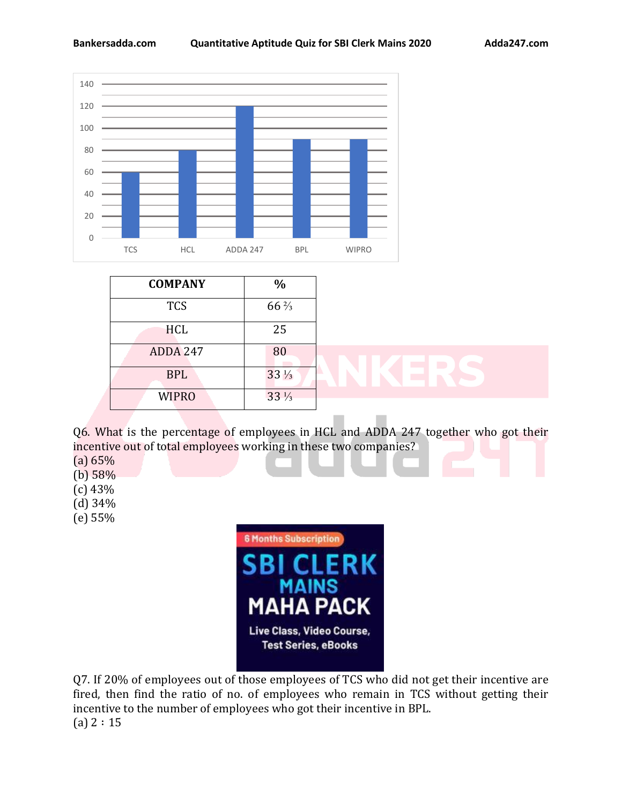

| <b>COMPANY</b>  | $\frac{0}{0}$   |  |  |
|-----------------|-----------------|--|--|
| <b>TCS</b>      | $66\frac{2}{3}$ |  |  |
| <b>HCL</b>      | 25              |  |  |
| <b>ADDA 247</b> | 80              |  |  |
| <b>BPL</b>      | $33\frac{1}{3}$ |  |  |
| <b>WIPRO</b>    | $33\frac{1}{3}$ |  |  |

Q6. What is the percentage of employees in HCL and ADDA 247 together who got their incentive out of total employees working in these two companies?

- (a) 65%
- (b) 58%
- (c) 43%
- (d) 34%
- (e) 55%



Q7. If 20% of employees out of those employees of TCS who did not get their incentive are fired, then find the ratio of no. of employees who remain in TCS without getting their incentive to the number of employees who got their incentive in BPL.  $(a) 2 : 15$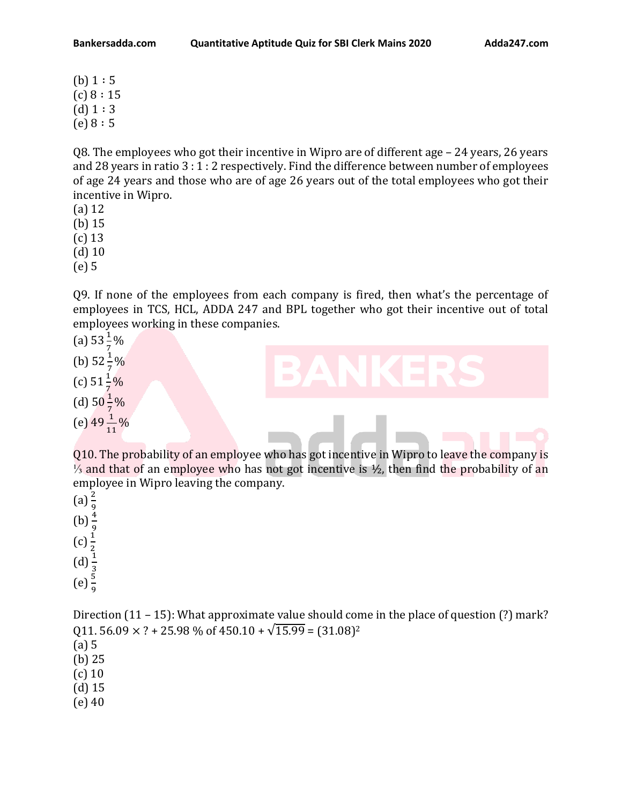Q8. The employees who got their incentive in Wipro are of different age – 24 years, 26 years and 28 years in ratio 3 : 1 : 2 respectively. Find the difference between number of employees of age 24 years and those who are of age 26 years out of the total employees who got their incentive in Wipro.

- (a) 12
- (b) 15
- (c) 13
- (d) 10
- (e) 5

Q9. If none of the employees from each company is fired, then what's the percentage of employees in TCS, HCL, ADDA 247 and BPL together who got their incentive out of total employees working in these companies.

- (a)  $53\frac{1}{7}\%$
- (b)  $52\frac{1}{7}\%$
- (c)  $51\frac{1}{7}\%$
- (d)  $50\frac{1}{7}\%$
- (e)  $49\frac{1}{11}\%$

Q10. The probability of an employee who has got incentive in Wipro to leave the company is  $\frac{1}{3}$  and that of an employee who has not got incentive is ½, then find the probability of an employee in Wipro leaving the company.

 $(a) \frac{2}{9}$ (b)  $\frac{4}{9}$ <br>(c)  $\frac{1}{2}$ <br>(d)  $\frac{1}{3}$ <br>(e)  $\frac{5}{9}$ 

Direction (11 – 15): What approximate value should come in the place of question (?) mark? Q11. 56.09  $\times$  ? + 25.98 % of 450.10 +  $\sqrt{15.99}$  = (31.08)<sup>2</sup> (a) 5 (b) 25 (c) 10 (d) 15

(e) 40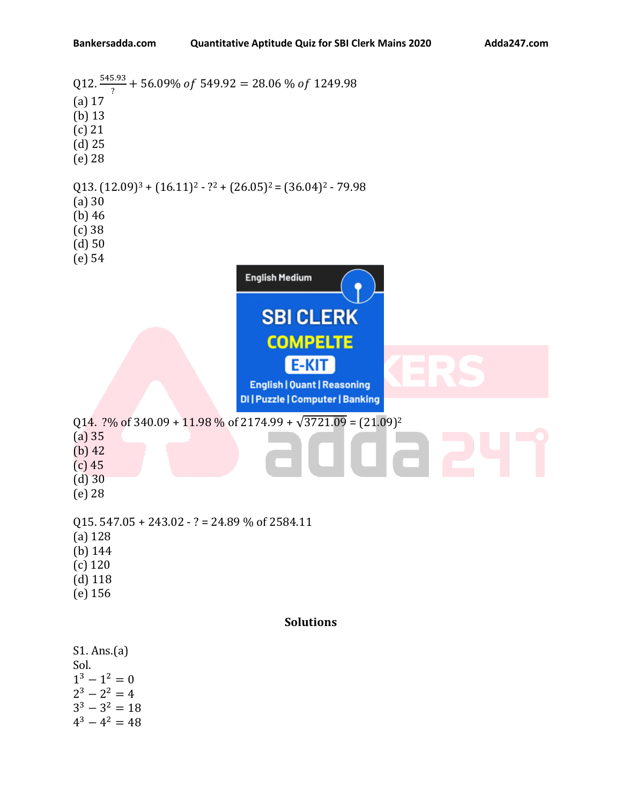```
Q12. \frac{545.93}{?} + 56.09\% of 549.92 = 28.06 % of 1249.98
(a) 17
(b) 13
(c) 21
(d) 25 
(e) 28
(13. (12.09)^3 + (16.11)^2 - ?^2 + (26.05)^2 = (36.04)^2 - 79.98(a) 30
(b) 46
(c) 38
(d) 50
(e) 54
                                   English Medium
                                      SBI CLERK
                                       COMPELTE
                                            E-KIT
                                    English | Quant | Reasoning
                                  DI | Puzzle | Computer | Banking
Q14. \frac{2\%}{6} of 340.09 + 11.98 % of 2174.99 + \sqrt{3721.09} = (21.09)^2(a) 35
(b) 42
(c) 45
(d) 30
(e) 28
Q15. 547.05 + 243.02 - ? = 24.89 % of 2584.11
(a) 128
(b) 144
(c) 120
(d) 118
(e) 156
                                           Solutions
S1. Ans.(a)
Sol.
1^3 - 1^2 = 02^3 - 2^2 = 43^3 - 3^2 = 184^3 - 4^2 = 48
```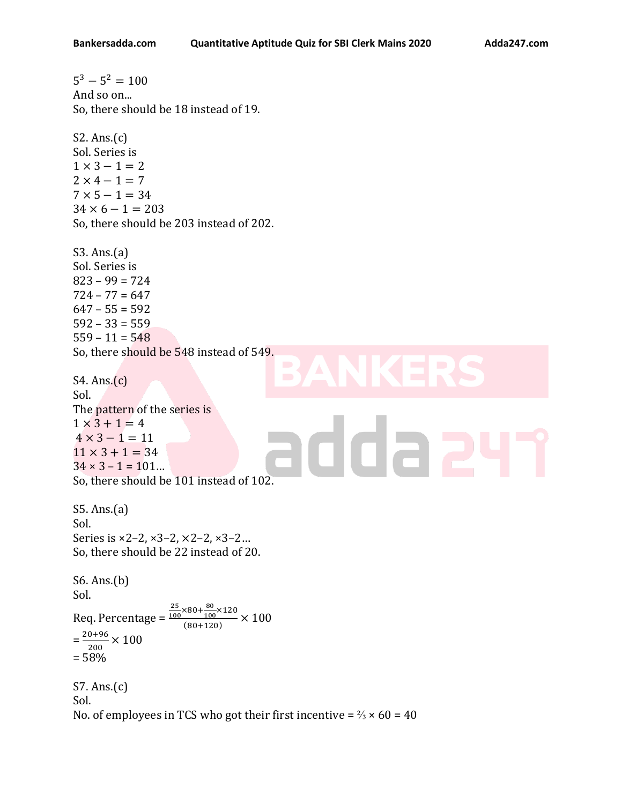$5^3 - 5^2 = 100$ And so on... So, there should be 18 instead of 19. S2. Ans.(c) Sol. Series is  $1 \times 3 - 1 = 2$  $2 \times 4 - 1 = 7$  $7 \times 5 - 1 = 34$  $34 \times 6 - 1 = 203$ So, there should be 203 instead of 202. S3. Ans.(a) Sol. Series is 823 – 99 = 724  $724 - 77 = 647$  $647 - 55 = 592$  $592 - 33 = 559$  $559 - 11 = 548$ So, there should be 548 instead of 549. S4. Ans.(c) Sol. The pattern of the series is  $1 \times 3 + 1 = 4$ ida a  $4 \times 3 - 1 = 11$  $11 \times 3 + 1 = 34$  $34 \times 3 - 1 = 101...$ So, there should be 101 instead of 102. S5. Ans.(a) Sol. Series is ×2–2, ×3–2, ×2–2, ×3–2… So, there should be 22 instead of 20. S6. Ans.(b) Sol.  $\frac{25}{100} \times 80 + \frac{80}{100}$ 25  $\frac{60}{100}$ ×120 Req. Percentage =  $\frac{(80+100)(120)}{(80+120)} \times 100$  $=\frac{20+96}{300}$  $\frac{0+90}{200} \times 100$ = 58% S7. Ans.(c) Sol. No. of employees in TCS who got their first incentive =  $\frac{2}{3} \times 60 = 40$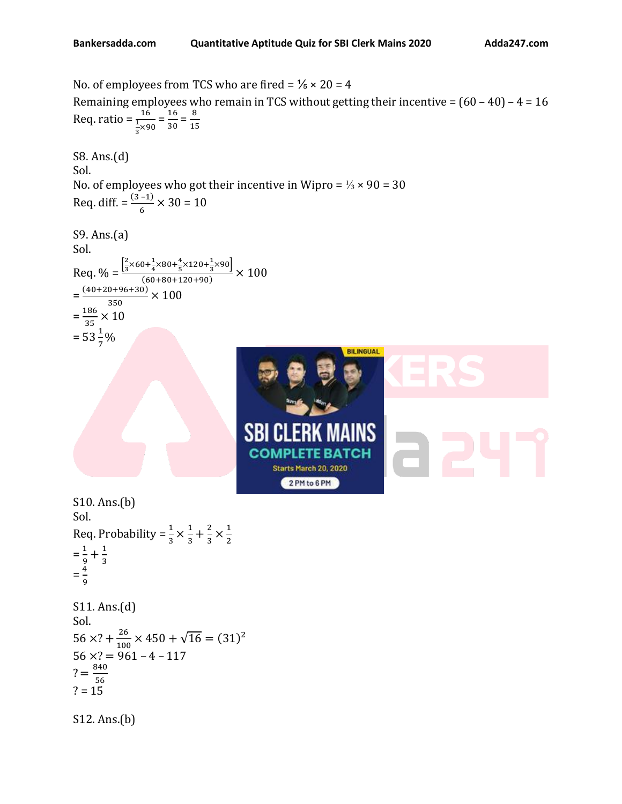No. of employees from TCS who are fired =  $\frac{1}{5} \times 20 = 4$ Remaining employees who remain in TCS without getting their incentive =  $(60 - 40)$  – 4 = 16 Req. ratio =  $\frac{16}{100}$  $\frac{16}{\frac{1}{3} \times 90} = \frac{16}{30}$  $\frac{16}{30} = \frac{8}{15}$ 15 S8. Ans.(d) Sol. No. of employees who got their incentive in Wipro =  $\frac{1}{3} \times 90 = 30$ Req. diff.  $= \frac{(3-1)}{6} \times 30 = 10$ S9. Ans.(a) Sol. Req. % =  $\frac{2}{3}$  $\frac{2}{3}$ ×60+ $\frac{1}{4}$  $\frac{1}{4}$ ×80+ $\frac{4}{5}$  $\frac{4}{5}$ ×120+ $\frac{1}{3}$  $\frac{1}{3}$ ×90]  $\frac{(60+80+120+90)}{(60+80+120+90)} \times 100$  $=\frac{(40+20+96+30)}{350}$  $\frac{6+90+30j}{350} \times 100$  $=\frac{186}{25}$  $\frac{188}{35} \times 10$  $= 53\frac{1}{7}\%$ **BILINGUAL ERK MAINS** SBI CL CO Starts March 20, 2020 2 PM to 6 PM S10. Ans.(b) Sol. Req. Probability =  $\frac{1}{3} \times \frac{1}{3}$  $\frac{1}{3} + \frac{2}{3}$  $\frac{2}{3} \times \frac{1}{2}$ 2  $=\frac{1}{2}$  $\frac{1}{9} + \frac{1}{3}$ 3  $=\frac{4}{3}$ 9 S11. Ans.(d) Sol.  $56 \times ? + \frac{26}{100}$  $\frac{26}{100} \times 450 + \sqrt{16} = (31)^2$  $56 \times ? = 961 - 4 - 117$  $? = \frac{840}{76}$ 56  $? = 15$ S12. Ans.(b)